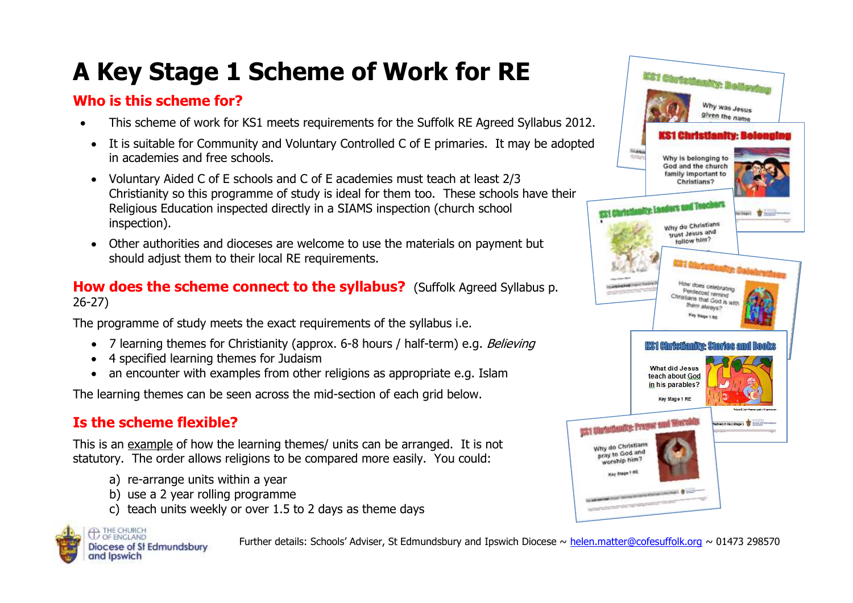# **A Key Stage 1 Scheme of Work for RE**

## **Who is this scheme for?**

- This scheme of work for KS1 meets requirements for the Suffolk RE Agreed Syllabus 2012.
- It is suitable for Community and Voluntary Controlled C of E primaries. It may be adopted in academies and free schools.
- Voluntary Aided C of E schools and C of E academies must teach at least 2/3 Christianity so this programme of study is ideal for them too. These schools have their Religious Education inspected directly in a SIAMS inspection (church school inspection).
- Other authorities and dioceses are welcome to use the materials on payment but should adjust them to their local RE requirements.

#### **How does the scheme connect to the syllabus?** (Suffolk Agreed Syllabus p. 26-27)

The programme of study meets the exact requirements of the syllabus i.e.

- 7 learning themes for Christianity (approx. 6-8 hours / half-term) e.g. Believing
- 4 specified learning themes for Judaism
- an encounter with examples from other religions as appropriate e.g. Islam

The learning themes can be seen across the mid-section of each grid below.

## **Is the scheme flexible?**

This is an example of how the learning themes/ units can be arranged. It is not statutory. The order allows religions to be compared more easily. You could:

- a) re-arrange units within a year
- b) use a 2 year rolling programme
- c) teach units weekly or over 1.5 to 2 days as theme days



Further details: Schools' Adviser, St Edmundsbury and Ipswich Diocese ~ [helen.matter@cofesuffolk.org](mailto:helen.matter@cofesuffolk.org) ~ 01473 298570

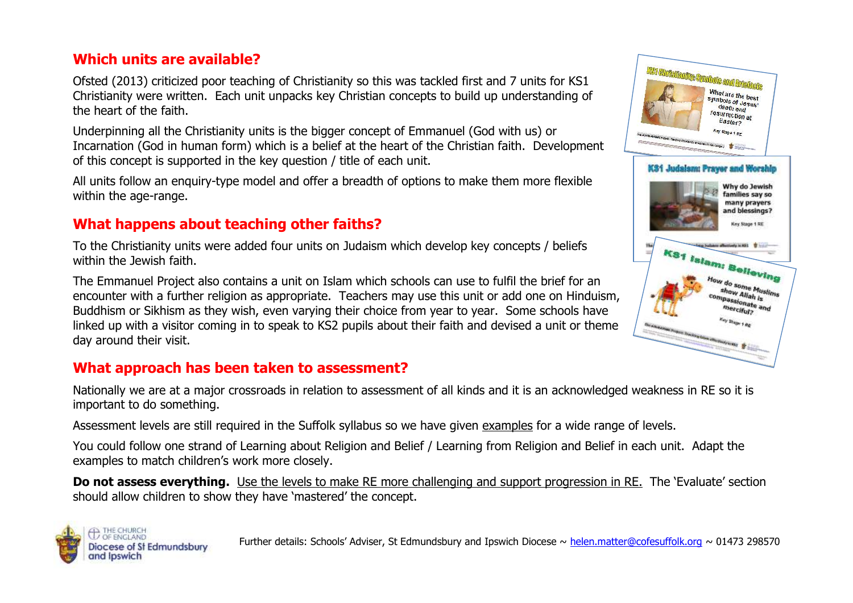## **Which units are available?**

Ofsted (2013) criticized poor teaching of Christianity so this was tackled first and 7 units for KS1 Christianity were written. Each unit unpacks key Christian concepts to build up understanding of the heart of the faith.

Underpinning all the Christianity units is the bigger concept of Emmanuel (God with us) or Incarnation (God in human form) which is a belief at the heart of the Christian faith. Development of this concept is supported in the key question / title of each unit.

All units follow an enquiry-type model and offer a breadth of options to make them more flexible within the age-range.

## **What happens about teaching other faiths?**

To the Christianity units were added four units on Judaism which develop key concepts / beliefs within the Jewish faith.

The Emmanuel Project also contains a unit on Islam which schools can use to fulfil the brief for an encounter with a further religion as appropriate. Teachers may use this unit or add one on Hinduism, Buddhism or Sikhism as they wish, even varying their choice from year to year. Some schools have linked up with a visitor coming in to speak to KS2 pupils about their faith and devised a unit or theme day around their visit.

## **What approach has been taken to assessment?**

Nationally we are at a major crossroads in relation to assessment of all kinds and it is an acknowledged weakness in RE so it is important to do something.

Assessment levels are still required in the Suffolk syllabus so we have given examples for a wide range of levels.

You could follow one strand of Learning about Religion and Belief / Learning from Religion and Belief in each unit. Adapt the examples to match children's work more closely.

**Do not assess everything.** Use the levels to make RE more challenging and support progression in RE. The 'Evaluate' section should allow children to show they have 'mastered' the concept.





npassionate and erciful?